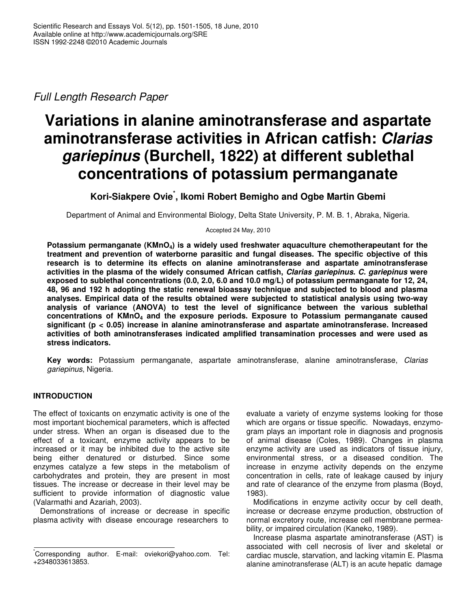*Full Length Research Paper*

# **Variations in alanine aminotransferase and aspartate aminotransferase activities in African catfish:** *Clarias gariepinus* **(Burchell, 1822) at different sublethal concentrations of potassium permanganate**

**Kori-Siakpere Ovie \* , Ikomi Robert Bemigho and Ogbe Martin Gbemi**

Department of Animal and Environmental Biology, Delta State University, P. M. B. 1, Abraka, Nigeria.

Accepted 24 May, 2010

**Potassium permanganate (KMnO4) is a widely used freshwater aquaculture chemotherapeutant for the treatment and prevention of waterborne parasitic and fungal diseases. The specific objective of this research is to determine its effects on alanine aminotransferase and aspartate aminotransferase activities in the plasma of the widely consumed African catfish,** *Clarias gariepinus. C. gariepinus* **were exposed to sublethal concentrations (0.0, 2.0, 6.0 and 10.0 mg/L) of potassium permanganate for 12, 24, 48, 96 and 192 h adopting the static renewal bioassay technique and subjected to blood and plasma analyses. Empirical data of the results obtained were subjected to statistical analysis using two-way analysis of variance (ANOVA) to test the level of significance between the various sublethal concentrations of KMnO<sup>4</sup> and the exposure periods. Exposure to Potassium permanganate caused significant (p < 0.05) increase in alanine aminotransferase and aspartate aminotransferase. Increased activities of both aminotransferases indicated amplified transamination processes and were used as stress indicators.**

**Key words:** Potassium permanganate, aspartate aminotransferase, alanine aminotransferase, *Clarias gariepinus*, Nigeria.

# **INTRODUCTION**

The effect of toxicants on enzymatic activity is one of the most important biochemical parameters, which is affected under stress. When an organ is diseased due to the effect of a toxicant, enzyme activity appears to be increased or it may be inhibited due to the active site being either denatured or disturbed. Since some enzymes catalyze a few steps in the metabolism of carbohydrates and protein, they are present in most tissues. The increase or decrease in their level may be sufficient to provide information of diagnostic value (Valarmathi and Azariah, 2003).

Demonstrations of increase or decrease in specific plasma activity with disease encourage researchers to

evaluate a variety of enzyme systems looking for those which are organs or tissue specific. Nowadays, enzymogram plays an important role in diagnosis and prognosis of animal disease (Coles, 1989). Changes in plasma enzyme activity are used as indicators of tissue injury, environmental stress, or a diseased condition. The increase in enzyme activity depends on the enzyme concentration in cells, rate of leakage caused by injury and rate of clearance of the enzyme from plasma (Boyd, 1983).

Modifications in enzyme activity occur by cell death, increase or decrease enzyme production, obstruction of normal excretory route, increase cell membrane permeability, or impaired circulation (Kaneko, 1989).

Increase plasma aspartate aminotransferase (AST) is associated with cell necrosis of liver and skeletal or cardiac muscle, starvation, and lacking vitamin E. Plasma alanine aminotransferase (ALT) is an acute hepatic damage

<sup>\*</sup>Corresponding author. E-mail: oviekori@yahoo.com. Tel: +2348033613853.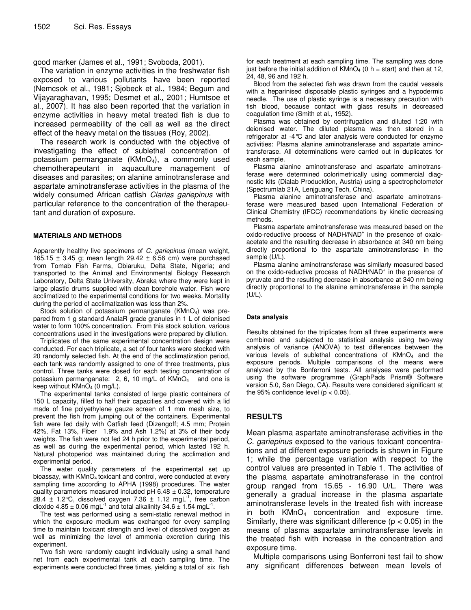good marker (James et al., 1991; Svoboda, 2001).

The variation in enzyme activities in the freshwater fish exposed to various pollutants have been reported (Nemcsok et al., 1981; Sjobeck et al., 1984; Begum and Vijayaraghavan, 1995; Desmet et al., 2001; Humtsoe et al., 2007). It has also been reported that the variation in enzyme activities in heavy metal treated fish is due to increased permeability of the cell as well as the direct effect of the heavy metal on the tissues (Roy, 2002).

The research work is conducted with the objective of investigating the effect of sublethal concentration of potassium permanganate  $(KMnO<sub>4</sub>)$ , a commonly used chemotherapeutant in aquaculture management of diseases and parasites; on alanine aminotransferase and aspartate aminotransferase activities in the plasma of the widely consumed African catfish *Clarias gariepinus* with particular reference to the concentration of the therapeutant and duration of exposure.

## **MATERIALS AND METHODS**

Apparently healthy live specimens of *C. gariepinus* (mean weight, 165.15  $\pm$  3.45 g; mean length 29.42  $\pm$  6.56 cm) were purchased from Tomab Fish Farms, Obiaruku, Delta State, Nigeria; and transported to the Animal and Environmental Biology Research Laboratory, Delta State University, Abraka where they were kept in large plastic drums supplied with clean borehole water. Fish were acclimatized to the experimental conditions for two weeks. Mortality during the period of acclimatization was less than 2%.

Stock solution of potassium permanganate  $(KMnO<sub>4</sub>)$  was prepared from 1 g standard AnalaR grade granules in 1 L of deionised water to form 100% concentration. From this stock solution, various concentrations used in the investigations were prepared by dilution.

Triplicates of the same experimental concentration design were conducted. For each triplicate, a set of four tanks were stocked with 20 randomly selected fish. At the end of the acclimatization period, each tank was randomly assigned to one of three treatments, plus control. Three tanks were dosed for each testing concentration of potassium permanganate: 2, 6, 10 mg/L of KMnO<sub>4</sub> and one is keep without  $KMnO<sub>4</sub>$  (0 mg/L).

The experimental tanks consisted of large plastic containers of 150 L capacity, filled to half their capacities and covered with a lid made of fine polyethylene gauze screen of 1 mm mesh size, to prevent the fish from jumping out of the containers. Experimental fish were fed daily with Catfish feed (Dizengoff; 4.5 mm; Protein 42%, Fat 13%, Fiber 1.9% and Ash 1.2%) at 3% of their body weights. The fish were not fed 24 h prior to the experimental period, as well as during the experimental period, which lasted 192 h. Natural photoperiod was maintained during the acclimation and experimental period.

The water quality parameters of the experimental set up bioassay, with KMnO<sub>4</sub> toxicant and control, were conducted at every sampling time according to APHA (1998) procedures. The water quality parameters measured included  $pH$  6.48  $\pm$  0.32, temperature 28.4  $\pm$  1.2°C, dissolved oxygen 7.36  $\pm$  1.12 mgL<sup>-1</sup>, free carbon dioxide 4.85  $\pm$  0.06 mgL<sup>-1</sup> and total alkalinity 34.6  $\pm$  1.54 mgL<sup>-1</sup>.

The test was performed using a semi-static renewal method in which the exposure medium was exchanged for every sampling time to maintain toxicant strength and level of dissolved oxygen as well as minimizing the level of ammonia excretion during this experiment.

Two fish were randomly caught individually using a small hand net from each experimental tank at each sampling time. The experiments were conducted three times, yielding a total of six fish

for each treatment at each sampling time. The sampling was done just before the initial addition of  $KMnO_4$  (0 h = start) and then at 12, 24, 48, 96 and 192 h.

Blood from the selected fish was drawn from the caudal vessels with a heparinised disposable plastic syringes and a hypodermic needle. The use of plastic syringe is a necessary precaution with fish blood, because contact with glass results in decreased coagulation time (Smith et al., 1952).

Plasma was obtained by centrifugation and diluted 1:20 with deionised water. The diluted plasma was then stored in a refrigerator at -4°C and later analysis were conducted for enzyme activities: Plasma alanine aminotransferase and aspartate aminotransferase. All determinations were carried out in duplicates for each sample.

Plasma alanine aminotransferase and aspartate aminotransferase were determined colorimetrically using commercial diagnostic kits (Dialab Producktion, Austria) using a spectrophotometer (Spectrumlab 21A, Lenjguang Tech, China).

Plasma alanine aminotransferase and aspartate aminotransferase were measured based upon International Federation of Clinical Chemistry (IFCC) recommendations by kinetic decreasing methods.

Plasma aspartate aminotransferase was measured based on the oxido-reductive process of NADH/NAD<sup>+</sup> in the presence of oxaloacetate and the resulting decrease in absorbance at 340 nm being directly proportional to the aspartate aminotransferase in the sample (U/L).

Plasma alanine aminotransferase was similarly measured based on the oxido-reductive process of NADH/NAD<sup>+</sup> in the presence of pyruvate and the resulting decrease in absorbance at 340 nm being directly proportional to the alanine aminotransferase in the sample  $(U/L)$ .

#### **Data analysis**

Results obtained for the triplicates from all three experiments were combined and subjected to statistical analysis using two-way analysis of variance (ANOVA) to test differences between the various levels of sublethal concentrations of KMnO<sup>4</sup> and the exposure periods. Multiple comparisons of the means were analyzed by the Bonferroni tests. All analyses were performed using the software programme (GraphPads Prism® Software version 5.0, San Diego, CA). Results were considered significant at the 95% confidence level  $(p < 0.05)$ .

# **RESULTS**

Mean plasma aspartate aminotransferase activities in the *C. gariepinus* exposed to the various toxicant concentrations and at different exposure periods is shown in Figure 1; while the percentage variation with respect to the control values are presented in Table 1. The activities of the plasma aspartate aminotransferase in the control group ranged from 15.65 - 16.90 U/L. There was generally a gradual increase in the plasma aspartate aminotransferase levels in the treated fish with increase in both  $KMnO<sub>4</sub>$  concentration and exposure time. Similarly, there was significant difference ( $p < 0.05$ ) in the means of plasma aspartate aminotransferase levels in the treated fish with increase in the concentration and exposure time.

Multiple comparisons using Bonferroni test fail to show any significant differences between mean levels of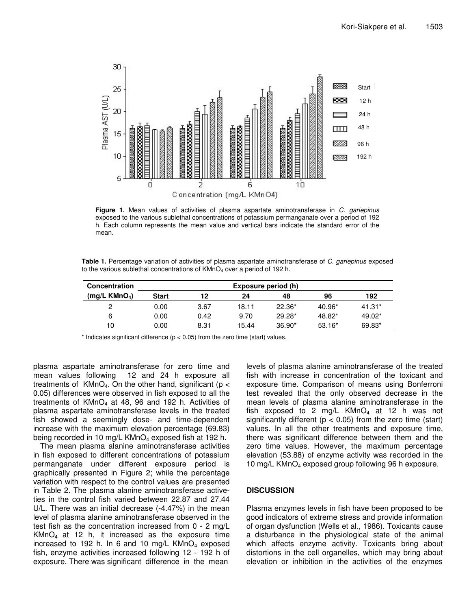

**Figure 1.** Mean values of activities of plasma aspartate aminotransferase in *C. gariepinus* exposed to the various sublethal concentrations of potassium permanganate over a period of 192 h. Each column represents the mean value and vertical bars indicate the standard error of the mean.

**Table 1.** Percentage variation of activities of plasma aspartate aminotransferase of *C. gariepinus* exposed to the various sublethal concentrations of KMnO<sub>4</sub> over a period of 192 h.

| <b>Concentration</b>       | Exposure period (h) |      |       |          |          |          |  |  |  |
|----------------------------|---------------------|------|-------|----------|----------|----------|--|--|--|
| (mg/L K MnO <sub>4</sub> ) | Start               | 12   | 24    | 48       | 96       | 192      |  |  |  |
| ິ                          | 0.00                | 3.67 | 18.11 | $22.36*$ | $40.96*$ | $41.31*$ |  |  |  |
| 6                          | 0.00                | 0.42 | 9.70  | $29.28*$ | 48.82*   | $49.02*$ |  |  |  |
| 10                         | 0.00                | 8.31 | 15.44 | $36.90*$ | $53.16*$ | 69.83*   |  |  |  |

 $*$  Indicates significant difference ( $p < 0.05$ ) from the zero time (start) values.

plasma aspartate aminotransferase for zero time and mean values following 12 and 24 h exposure all treatments of  $KMnO<sub>4</sub>$ . On the other hand, significant ( $p <$ 0.05) differences were observed in fish exposed to all the treatments of  $KMnO<sub>4</sub>$  at 48, 96 and 192 h. Activities of plasma aspartate aminotransferase levels in the treated fish showed a seemingly dose- and time-dependent increase with the maximum elevation percentage (69.83) being recorded in 10 mg/L  $KMnO<sub>4</sub>$  exposed fish at 192 h.

The mean plasma alanine aminotransferase activities in fish exposed to different concentrations of potassium permanganate under different exposure period is graphically presented in Figure 2; while the percentage variation with respect to the control values are presented in Table 2. The plasma alanine aminotransferase activeties in the control fish varied between 22.87 and 27.44 U/L. There was an initial decrease (-4.47%) in the mean level of plasma alanine aminotransferase observed in the test fish as the concentration increased from 0 - 2 mg/L  $KMnO<sub>4</sub>$  at 12 h, it increased as the exposure time increased to 192 h. In 6 and 10 mg/L  $KMnO<sub>4</sub>$  exposed fish, enzyme activities increased following 12 - 192 h of exposure. There was significant difference in the mean

levels of plasma alanine aminotransferase of the treated fish with increase in concentration of the toxicant and exposure time. Comparison of means using Bonferroni test revealed that the only observed decrease in the mean levels of plasma alanine aminotransferase in the fish exposed to 2 mg/L  $KMnO<sub>4</sub>$  at 12 h was not significantly different ( $p < 0.05$ ) from the zero time (start) values. In all the other treatments and exposure time, there was significant difference between them and the zero time values. However, the maximum percentage elevation (53.88) of enzyme activity was recorded in the 10 mg/L KMnO<sub>4</sub> exposed group following 96 h exposure.

## **DISCUSSION**

Plasma enzymes levels in fish have been proposed to be good indicators of extreme stress and provide information of organ dysfunction (Wells et al., 1986). Toxicants cause a disturbance in the physiological state of the animal which affects enzyme activity. Toxicants bring about distortions in the cell organelles, which may bring about elevation or inhibition in the activities of the enzymes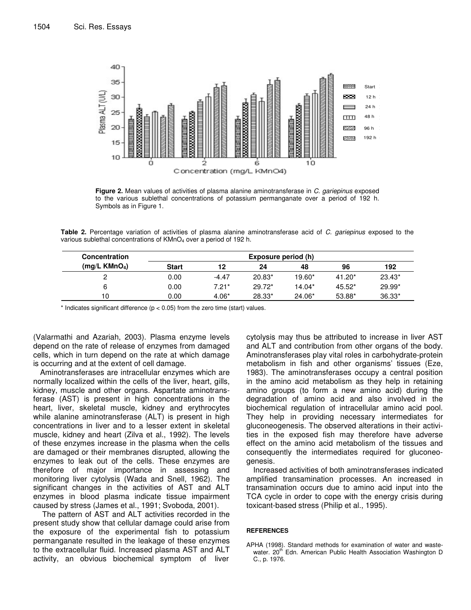

**Figure 2.** Mean values of activities of plasma alanine aminotransferase in *C. gariepinus* exposed to the various sublethal concentrations of potassium permanganate over a period of 192 h. Symbols as in Figure 1.

**Table 2.** Percentage variation of activities of plasma alanine aminotransferase acid of *C. gariepinus* exposed to the various sublethal concentrations of KMnO<sub>4</sub> over a period of 192 h.

| <b>Concentration</b>        | Exposure period (h) |         |          |          |          |          |  |  |
|-----------------------------|---------------------|---------|----------|----------|----------|----------|--|--|
| $(mq/L$ KMnO <sub>4</sub> ) | Start               | 12      | 24       | 48       | 96       | 192      |  |  |
|                             | 0.00                | $-4.47$ | $20.83*$ | $19.60*$ | $41.20*$ | $23.43*$ |  |  |
|                             | 0.00                | $7.21*$ | $29.72*$ | $14.04*$ | $45.52*$ | $29.99*$ |  |  |
| 10                          | 0.00                | $4.06*$ | 28.33*   | 24.06*   | 53.88*   | $36.33*$ |  |  |

 $*$  Indicates significant difference ( $p < 0.05$ ) from the zero time (start) values.

(Valarmathi and Azariah, 2003). Plasma enzyme levels depend on the rate of release of enzymes from damaged cells, which in turn depend on the rate at which damage is occurring and at the extent of cell damage.

Aminotransferases are intracellular enzymes which are normally localized within the cells of the liver, heart, gills, kidney, muscle and other organs. Aspartate aminotransferase (AST) is present in high concentrations in the heart, liver, skeletal muscle, kidney and erythrocytes while alanine aminotransferase (ALT) is present in high concentrations in liver and to a lesser extent in skeletal muscle, kidney and heart (Zilva et al., 1992). The levels of these enzymes increase in the plasma when the cells are damaged or their membranes disrupted, allowing the enzymes to leak out of the cells. These enzymes are therefore of major importance in assessing and monitoring liver cytolysis (Wada and Snell, 1962). The significant changes in the activities of AST and ALT enzymes in blood plasma indicate tissue impairment caused by stress (James et al., 1991; Svoboda, 2001).

The pattern of AST and ALT activities recorded in the present study show that cellular damage could arise from the exposure of the experimental fish to potassium permanganate resulted in the leakage of these enzymes to the extracellular fluid. Increased plasma AST and ALT activity, an obvious biochemical symptom of liver

cytolysis may thus be attributed to increase in liver AST and ALT and contribution from other organs of the body. Aminotransferases play vital roles in carbohydrate-protein metabolism in fish and other organisms' tissues (Eze, 1983). The aminotransferases occupy a central position in the amino acid metabolism as they help in retaining amino groups (to form a new amino acid) during the degradation of amino acid and also involved in the biochemical regulation of intracellular amino acid pool. They help in providing necessary intermediates for gluconeogenesis. The observed alterations in their activities in the exposed fish may therefore have adverse effect on the amino acid metabolism of the tissues and consequently the intermediates required for gluconeogenesis.

Increased activities of both aminotransferases indicated amplified transamination processes. An increased in transamination occurs due to amino acid input into the TCA cycle in order to cope with the energy crisis during toxicant-based stress (Philip et al., 1995).

#### **REFERENCES**

APHA (1998). Standard methods for examination of water and wastewater. 20<sup>th</sup> Edn. American Public Health Association Washington D C., p. 1976.